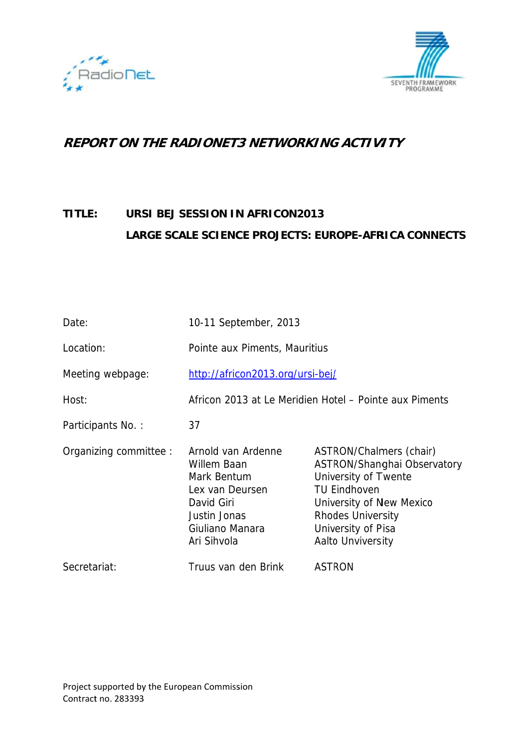



# **REPORT ON THE RADIONET3 NETWORKING ACTIVITY**

#### TITLE: URSI BEJ SESSION IN AFRICON2013 LARGE SCALE SCIENCE PROJECTS: EUROPE-AFRICA CONNECTS

| Date:                  | 10-11 September, 2013                                                                                                               |                                                                                                                                                                                                          |  |
|------------------------|-------------------------------------------------------------------------------------------------------------------------------------|----------------------------------------------------------------------------------------------------------------------------------------------------------------------------------------------------------|--|
| Location:              | Pointe aux Piments, Mauritius                                                                                                       |                                                                                                                                                                                                          |  |
| Meeting webpage:       | http://africon2013.org/ursi-bej/                                                                                                    |                                                                                                                                                                                                          |  |
| Host:                  | Africon 2013 at Le Meridien Hotel – Pointe aux Piments                                                                              |                                                                                                                                                                                                          |  |
| Participants No.:      | 37                                                                                                                                  |                                                                                                                                                                                                          |  |
| Organizing committee : | Arnold van Ardenne<br>Willem Baan<br>Mark Bentum<br>Lex van Deursen<br>David Giri<br>Justin Jonas<br>Giuliano Manara<br>Ari Sihvola | ASTRON/Chalmers (chair)<br>ASTRON/Shanghai Observatory<br>University of Twente<br><b>TU Eindhoven</b><br>University of New Mexico<br><b>Rhodes University</b><br>University of Pisa<br>Aalto Unviversity |  |
| Secretariat:           | Truus van den Brink                                                                                                                 | <b>ASTRON</b>                                                                                                                                                                                            |  |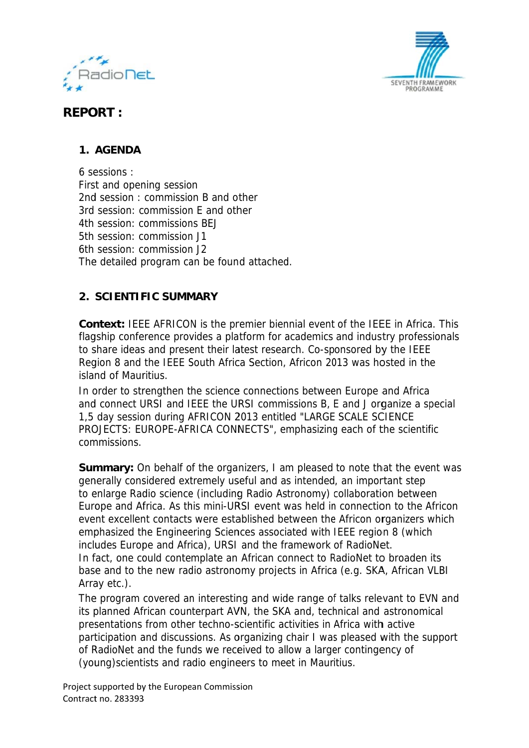



## **REPORT:**

### 1. AGENDA

6 sessions: First and opening session 2nd session: commission B and other 3rd session: commission F and other 4th session: commissions BEJ 5th session: commission J1 6th session: commission J2 The detailed program can be found attached.

#### 2. SCIENTIFIC SUMMARY

**Context:** IEEE AFRICON is the premier biennial event of the IEEE in Africa. This flagship conference provides a platform for academics and industry professionals to share ideas and present their latest research. Co-sponsored by the IEEE Region 8 and the IEEE South Africa Section, Africon 2013 was hosted in the island of Mauritius.

In order to strengthen the science connections between Europe and Africa and connect URSI and IEEE the URSI commissions B. E and J organize a special 1,5 day session during AFRICON 2013 entitled "LARGE SCALE SCIENCE PROJECTS: EUROPE-AFRICA CONNECTS", emphasizing each of the scientific commissions.

**Summary:** On behalf of the organizers, I am pleased to note that the event was generally considered extremely useful and as intended, an important step to enlarge Radio science (including Radio Astronomy) collaboration between Europe and Africa. As this mini-URSI event was held in connection to the Africon event excellent contacts were established between the Africon organizers which emphasized the Engineering Sciences associated with IEEE region 8 (which includes Europe and Africa), URSI and the framework of RadioNet. In fact, one could contemplate an African connect to RadioNet to broaden its base and to the new radio astronomy projects in Africa (e.g. SKA, African VLBI) Array etc.).

The program covered an interesting and wide range of talks relevant to EVN and its planned African counterpart AVN, the SKA and, technical and astronomical presentations from other techno-scientific activities in Africa with active participation and discussions. As organizing chair I was pleased with the support of RadioNet and the funds we received to allow a larger contingency of (young) scientists and radio engineers to meet in Mauritius.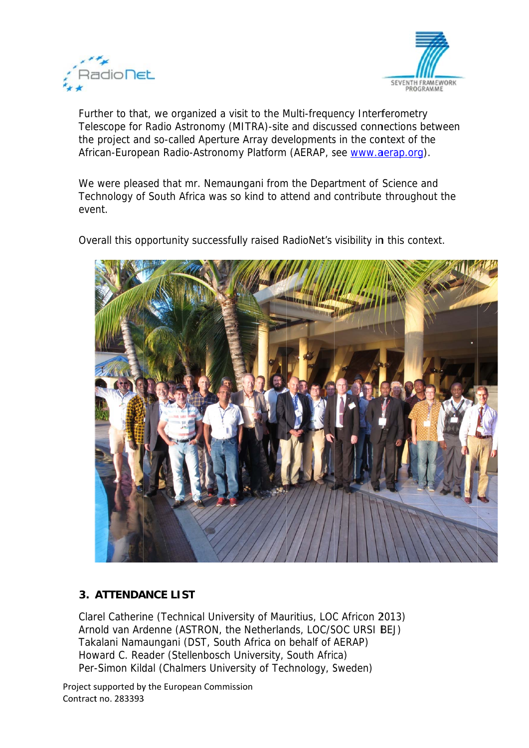



Further to that, we organized a visit to the Multi-frequency Interferometry Telescope for Radio Astronomy (MITRA)-site and discussed connections between the project and so-called Aperture Array developments in the context of the African-European Radio-Astronomy Platform (AERAP, see www.aerap.org).

We were pleased that mr. Nemaungani from the Department of Science and Technology of South Africa was so kind to attend and contribute throughout the event.

Overall this opportunity successfully raised RadioNet's visibility in this context.



#### **3. ATTENDANCE LIST**

Clarel Catherine (Technical University of Mauritius, LOC Africon 2013) Arnold van Ardenne (ASTRON, the Netherlands, LOC/SOC URSI BEJ) Takalani Namaungani (DST, South Africa on behalf of AERAP) Howard C. Reader (Stellenbosch University, South Africa) Per-Simon Kildal (Chalmers University of Technology, Sweden)

Project supported by the European Commission Contract no. 283393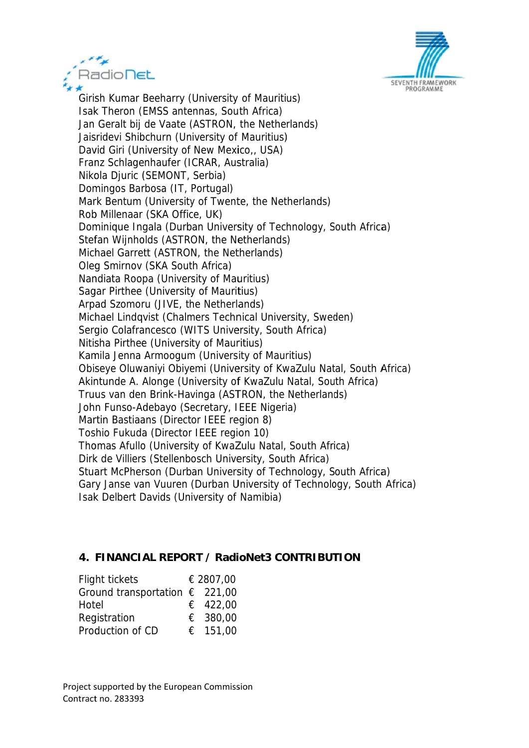



Girish Kumar Beeharry (University of Mauritius) Isak Theron (EMSS antennas, South Africa) Jan Geralt bij de Vaate (ASTRON, the Netherlands) Jaisridevi Shibchurn (University of Mauritius) David Giri (University of New Mexico,, USA) Franz Schlagenhaufer (ICRAR, Australia) Nikola Djuric (SEMONT, Serbia) Domingos Barbosa (IT, Portugal) Mark Bentum (University of Twente, the Netherlands) Rob Millenaar (SKA Office, UK) Dominique Ingala (Durban University of Technology, South Africa) Stefan Wijnholds (ASTRON, the Netherlands) Michael Garrett (ASTRON, the Netherlands) Oleg Smirnov (SKA South Africa) Nandiata Roopa (University of Mauritius) Sagar Pirthee (University of Mauritius) Arpad Szomoru (JIVE, the Netherlands) Michael Lindqvist (Chalmers Technical University, Sweden) Sergio Colafrancesco (WITS University, South Africa) Nitisha Pirthee (University of Mauritius) Kamila Jenna Armoogum (University of Mauritius) Obiseye Oluwaniyi Obiyemi (University of KwaZulu Natal, South Africa) Akintunde A. Alonge (University of KwaZulu Natal, South Africa) Truus van den Brink-Havinga (ASTRON, the Netherlands) John Funso-Adebayo (Secretary, IEEE Nigeria) Martin Bastiaans (Director IEEE region 8) Toshio Fukuda (Director IEEE region 10) Thomas Afullo (University of KwaZulu Natal, South Africa) Dirk de Villiers (Stellenbosch University, South Africa) Stuart McPherson (Durban University of Technology, South Africa) Gary Janse van Vuuren (Durban University of Technology, South Africa) Isak Delbert Davids (University of Namibia)

#### 4. FINANCIAL REPORT / RadioNet3 CONTRIBUTION

| € 2807,00                               |
|-----------------------------------------|
| Ground transportation $\epsilon$ 221,00 |
| € 422,00                                |
| € 380,00                                |
| € 151,00                                |
|                                         |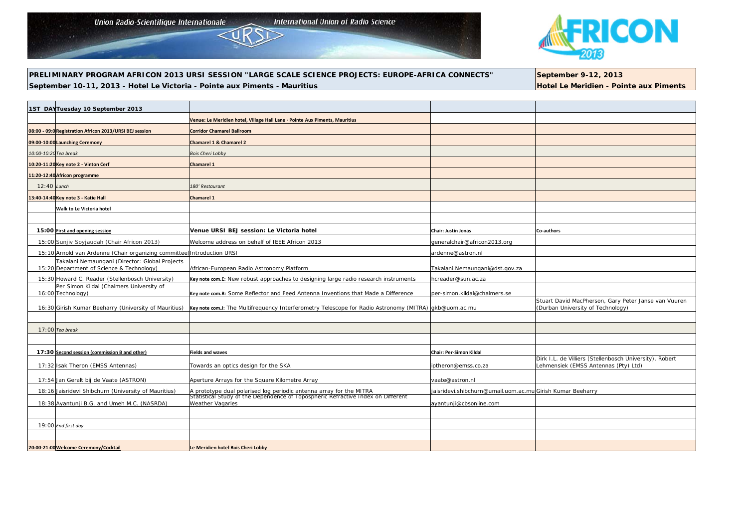Union Radio-Scientifique Internationale

**International Union of Radio Science** 



**PRELIMINARY PROGRAM AFRICON 2013 URSI SESSION "LARGE SCALE SCIENCE PROJECTS: EUROPE-AFRICA CONNECTS" September 9-12, 2013** September 10-11, 2013 - Hotel Le Victoria - Pointe aux Piments - Mauritius **Hotel Le Meridien - Pointe aux Piments** 

| 1ST DAYTuesday 10 September 2013                                                            |                                                                                                                                                         |                                                            |                                                                                                 |
|---------------------------------------------------------------------------------------------|---------------------------------------------------------------------------------------------------------------------------------------------------------|------------------------------------------------------------|-------------------------------------------------------------------------------------------------|
|                                                                                             | Venue: Le Meridien hotel, Village Hall Lane · Pointe Aux Piments, Mauritius                                                                             |                                                            |                                                                                                 |
| 08:00 - 09:0 Registration Africon 2013/URSI BEJ session                                     | <b>Corridor Chamarel Ballroom</b>                                                                                                                       |                                                            |                                                                                                 |
| 09:00-10:00 Launching Ceremony                                                              | <b>Chamarel 1 &amp; Chamarel 2</b>                                                                                                                      |                                                            |                                                                                                 |
| 10:00-10:20 Tea break                                                                       | <b>Bois Cheri Lobby</b>                                                                                                                                 |                                                            |                                                                                                 |
| 10:20-11:20 Key note 2 - Vinton Cerf                                                        | <b>Chamarel 1</b>                                                                                                                                       |                                                            |                                                                                                 |
| 11:20-12:40 Africon programme                                                               |                                                                                                                                                         |                                                            |                                                                                                 |
| $12:40$ Lunch                                                                               | 180' Restaurant                                                                                                                                         |                                                            |                                                                                                 |
| 13:40-14:40 Key note 3 - Katie Hall                                                         | Chamarel 1                                                                                                                                              |                                                            |                                                                                                 |
| Walk to Le Victoria hotel                                                                   |                                                                                                                                                         |                                                            |                                                                                                 |
|                                                                                             |                                                                                                                                                         |                                                            |                                                                                                 |
| 15:00 First and opening session                                                             | Venue URSI BEJ session: Le Victoria hotel                                                                                                               | <b>Chair: Justin Jonas</b>                                 | Co-authors                                                                                      |
| 15:00 Sunjiv Soyjaudah (Chair Africon 2013)                                                 | Welcome address on behalf of IEEE Africon 2013                                                                                                          | generalchair@africon2013.org                               |                                                                                                 |
| 15:10 Arnold van Ardenne (Chair organizing committee) Introduction URSI                     |                                                                                                                                                         | ardenne@astron.nl                                          |                                                                                                 |
| Takalani Nemaungani (Director: Global Projects<br>15:20 Department of Science & Technology) | African-European Radio Astronomy Platform                                                                                                               | Takalani.Nemaungani@dst.gov.za                             |                                                                                                 |
| 15:30 Howard C. Reader (Stellenbosch University)                                            | Key note com.E: New robust approaches to designing large radio research instruments                                                                     | hcreader@sun.ac.za                                         |                                                                                                 |
| Per Simon Kildal (Chalmers University of                                                    |                                                                                                                                                         |                                                            |                                                                                                 |
| 16:00 Technology)                                                                           | Key note com.B: Some Reflector and Feed Antenna Inventions that Made a Difference                                                                       | per-simon.kildal@chalmers.se                               | Stuart David MacPherson, Gary Peter Janse van Vuuren                                            |
| 16:30 Girish Kumar Beeharry (University of Mauritius)                                       | Key note com.J: The Multifrequency Interferometry Telescope for Radio Astronomy (MITRA) gkb@uom.ac.mu                                                   |                                                            | (Durban University of Technology)                                                               |
|                                                                                             |                                                                                                                                                         |                                                            |                                                                                                 |
| $17:00$ Tea break                                                                           |                                                                                                                                                         |                                                            |                                                                                                 |
|                                                                                             |                                                                                                                                                         |                                                            |                                                                                                 |
| 17:30 Second session (commission B and other)                                               | <b>Fields and waves</b>                                                                                                                                 | Chair: Per-Simon Kildal                                    |                                                                                                 |
| 17:32 Isak Theron (EMSS Antennas)                                                           | Towards an optics design for the SKA                                                                                                                    | iptheron@emss.co.za                                        | Dirk I.L. de Villiers (Stellenbosch University), Robert<br>Lehmensiek (EMSS Antennas (Pty) Ltd) |
|                                                                                             | Aperture Arrays for the Square Kilometre Array                                                                                                          | vaate@astron.nl                                            |                                                                                                 |
| 17:54 Jan Geralt bij de Vaate (ASTRON)                                                      |                                                                                                                                                         |                                                            |                                                                                                 |
| 18:16 Jaisridevi Shibchurn (University of Mauritius)                                        | A prototype dual polarised log periodic antenna array for the MITRA<br>Statistical Study of the Dependence of Topospheric Refractive Index on Different | jaisridevi.shibchurn@umail.uom.ac.mu Girish Kumar Beeharry |                                                                                                 |
| 18:38 Ayantunji B.G. and Umeh M.C. (NASRDA)                                                 | Weather Vagaries                                                                                                                                        | ayantunji@cbsonline.com                                    |                                                                                                 |
|                                                                                             |                                                                                                                                                         |                                                            |                                                                                                 |
| 19:00 End first day                                                                         |                                                                                                                                                         |                                                            |                                                                                                 |
|                                                                                             |                                                                                                                                                         |                                                            |                                                                                                 |
| 20:00-21:00 Welcome Ceremony/Cocktail                                                       | Le Meridien hotel Bois Cheri Lobby                                                                                                                      |                                                            |                                                                                                 |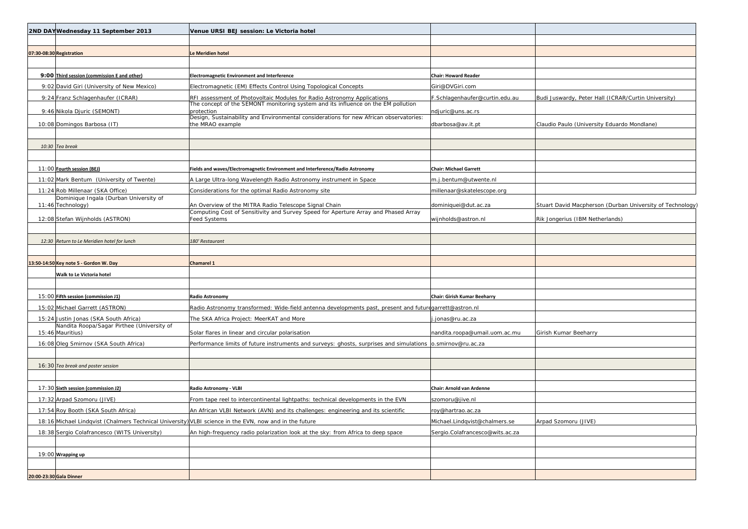| 2ND DAYWednesday 11 September 2013                                                                     | Venue URSI BEJ session: Le Victoria hotel                                                                                                                    |                                     |                                                           |
|--------------------------------------------------------------------------------------------------------|--------------------------------------------------------------------------------------------------------------------------------------------------------------|-------------------------------------|-----------------------------------------------------------|
|                                                                                                        |                                                                                                                                                              |                                     |                                                           |
| 07:30-08:30 Registration                                                                               | Le Meridien hotel                                                                                                                                            |                                     |                                                           |
|                                                                                                        |                                                                                                                                                              |                                     |                                                           |
| 9:00 Third session (commission E and other)                                                            | <b>Electromagnetic Environment and Interference</b>                                                                                                          | <b>Chair: Howard Reader</b>         |                                                           |
| 9:02 David Giri (University of New Mexico)                                                             | Electromagnetic (EM) Effects Control Using Topological Concepts                                                                                              | Giri@DVGiri.com                     |                                                           |
| 9:24 Franz Schlagenhaufer (ICRAR)                                                                      | RFI assessment of Photovoltaic Modules for Radio Astronomy Applications<br>The concept of the SEMONT monitoring system and its influence on the EM pollution | F.Schlagenhaufer@curtin.edu.au      | Budi Juswardy, Peter Hall (ICRAR/Curtin University)       |
| 9:46 Nikola Djuric (SEMONT)                                                                            | protection                                                                                                                                                   | ndjuric@uns.ac.rs                   |                                                           |
| 10:08 Domingos Barbosa (IT)                                                                            | Design, Sustainability and Environmental considerations for new African observatories:<br>the MRAO example                                                   | dbarbosa@av.it.pt                   | Claudio Paulo (University Eduardo Mondlane)               |
|                                                                                                        |                                                                                                                                                              |                                     |                                                           |
| 10:30 Tea break                                                                                        |                                                                                                                                                              |                                     |                                                           |
|                                                                                                        |                                                                                                                                                              |                                     |                                                           |
| 11:00 Fourth session (BEJ)                                                                             | Fields and waves/Electromagnetic Environment and Interference/Radio Astronomy                                                                                | <b>Chair: Michael Garrett</b>       |                                                           |
| 11:02 Mark Bentum (University of Twente)                                                               | A Large Ultra-long Wavelength Radio Astronomy instrument in Space                                                                                            | m.j.bentum@utwente.nl               |                                                           |
| 11:24 Rob Millenaar (SKA Office)                                                                       | Considerations for the optimal Radio Astronomy site                                                                                                          | millenaar@skatelescope.org          |                                                           |
| Dominique Ingala (Durban University of<br>11:46 Technology)                                            | An Overview of the MITRA Radio Telescope Signal Chain                                                                                                        | dominiquei@dut.ac.za                | Stuart David Macpherson (Durban University of Technology) |
| 12:08 Stefan Wijnholds (ASTRON)                                                                        | Computing Cost of Sensitivity and Survey Speed for Aperture Array and Phased Array<br><b>Feed Systems</b>                                                    | wijnholds@astron.nl                 | Rik Jongerius (IBM Netherlands)                           |
|                                                                                                        |                                                                                                                                                              |                                     |                                                           |
| 12:30 Return to Le Meridien hotel for lunch                                                            | 180' Restaurant                                                                                                                                              |                                     |                                                           |
|                                                                                                        |                                                                                                                                                              |                                     |                                                           |
| 13:50-14:50 Key note 5 - Gordon W. Day                                                                 | Chamarel 1                                                                                                                                                   |                                     |                                                           |
| Walk to Le Victoria hotel                                                                              |                                                                                                                                                              |                                     |                                                           |
|                                                                                                        |                                                                                                                                                              |                                     |                                                           |
| 15:00 Fifth session (commission J1)                                                                    | <b>Radio Astronomy</b>                                                                                                                                       | <b>Chair: Girish Kumar Beeharry</b> |                                                           |
| 15:02 Michael Garrett (ASTRON)                                                                         | Radio Astronomy transformed: Wide-field antenna developments past, present and futuregarrett@astron.nl                                                       |                                     |                                                           |
| 15:24 Justin Jonas (SKA South Africa)                                                                  | The SKA Africa Project: MeerKAT and More                                                                                                                     | .jonas@ru.ac.za                     |                                                           |
| Nandita Roopa/Sagar Pirthee (University of<br>15:46 Mauritius)                                         | Solar flares in linear and circular polarisation                                                                                                             | nandita.roopa@umail.uom.ac.mu       | Girish Kumar Beeharry                                     |
| 16:08 Oleg Smirnov (SKA South Africa)                                                                  | Performance limits of future instruments and surveys: ghosts, surprises and simulations o.smirnov@ru.ac.za                                                   |                                     |                                                           |
|                                                                                                        |                                                                                                                                                              |                                     |                                                           |
| 16:30 Tea break and poster session                                                                     |                                                                                                                                                              |                                     |                                                           |
|                                                                                                        |                                                                                                                                                              |                                     |                                                           |
| 17:30 Sixth session (commission J2)                                                                    | Radio Astronomy - VLBI                                                                                                                                       | Chair: Arnold van Ardenne           |                                                           |
| 17:32 Arpad Szomoru (JIVE)                                                                             | From tape reel to intercontinental lightpaths: technical developments in the EVN                                                                             | szomoru@jive.nl                     |                                                           |
| 17:54 Roy Booth (SKA South Africa)                                                                     | An African VLBI Network (AVN) and its challenges: engineering and its scientific                                                                             | roy@hartrao.ac.za                   |                                                           |
| 18:16 Michael Lindqvist (Chalmers Technical University) VLBI science in the EVN, now and in the future |                                                                                                                                                              | Michael.Lindqvist@chalmers.se       | Arpad Szomoru (JIVE)                                      |
| 18:38 Sergio Colafrancesco (WITS University)                                                           | An high-frequency radio polarization look at the sky: from Africa to deep space                                                                              | Sergio.Colafrancesco@wits.ac.za     |                                                           |
|                                                                                                        |                                                                                                                                                              |                                     |                                                           |
| 19:00 Wrapping up                                                                                      |                                                                                                                                                              |                                     |                                                           |
|                                                                                                        |                                                                                                                                                              |                                     |                                                           |
| 20:00-23:30 Gala Dinner                                                                                |                                                                                                                                                              |                                     |                                                           |